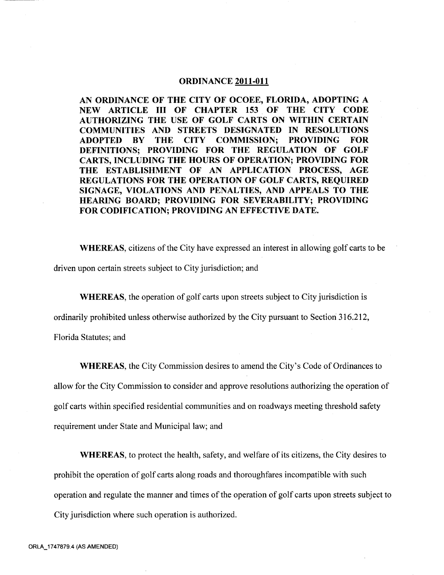#### **ORDINANCE 2011-011**

AN ORDINANCE OF THE CITY OF OCOEE, FLORIDA, ADOPTING A NEW ARTICLE III OF CHAPTER 153 OF THE CITY CODE AUTHORIZING THE USE OF GOLF CARTS ON WITHIN CERTAIN COMMUNITIES AND STREETS DESIGNATED IN RESOLUTIONS ADOPTED BY THE CITY COMMISSION; PROVIDING FOR DEFINITIONS; PROVIDING FOR THE REGULATION OF GOLF CARTS, INCLUDING THE HOURS OF OPERATION; PROVIDING FOR THE ESTABLISHMENT OF AN APPLICATION PROCESS, AGE REGULATIONS FOR THE OPERATION OF GOLF CARTS, REQUIRED SIGNAGE, VIOLATIONS AND PENALTIES, AND APPEALS TO THE HEARING BOARD; PROVIDING FOR SEVERABILITY; PROVIDING FOR CODIFICATION; PROVIDING AN EFFECTIVE DATE.

WHEREAS, citizens of the City have expressed an interest in allowing golf carts to be driven upon certain streets subject to City jurisdiction; and

WHEREAS, the operation of golf carts upon streets subject to City jurisdiction is

ordinarily prohibited unless otherwise authorized by the City pursuant to Section 316.212,

Florida Statutes; and

WHEREAS, the City Commission desires to amend the City's Code of Ordinances to allow for the City Commission to consider and approve resolutions authorizing the operation of golf carts within specified residential communities and on roadways meeting threshold safety requirement under State and Municipal law; and

WHEREAS, to protect the health, safety, and welfare of its citizens, the City desires to prohibit the operation of golf carts along roads and thoroughfares incompatible with such operation and regulate the manner and times of the operation of golf carts upon streets subject to City jurisdiction where such operation is authorized Operation and regu<br>City jurisdiction w<br>ORLA\_1747879.4 (AS AMENDED)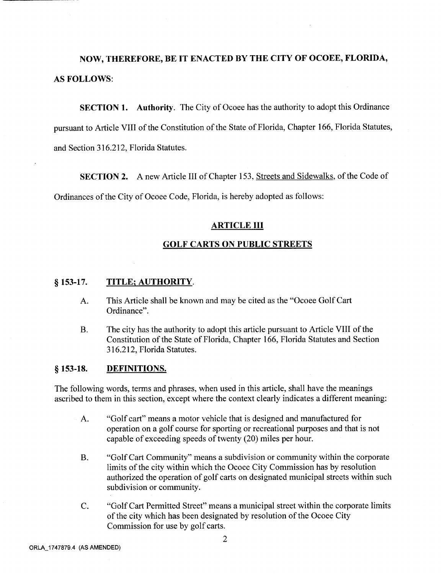# NOW, THEREFORE, BE IT ENACTED BY THE CITY OF OCOEE, FLORIDA, AS FOLLOWS

SECTION 1. Authority. The City of Ocoee has the authority to adopt this Ordinance pursuant to Article VIII of the Constitution of the State of Florida, Chapter 166, Florida Statutes, and Section 316.212, Florida Statutes.

**SECTION 2.** A new Article III of Chapter 153, Streets and Sidewalks, of the Code of

Ordinances of the City of Ocoee Code, Florida, is hereby adopted as follows:

## ARTICLE III

## GOLF CARTS ON PUBLIC STREETS

## § 153-17. TITLE; AUTHORITY.

- A. This Article shall be known and may be cited as the "Ocoee Golf Cart" Ordinance".
- B. The city has the authority to adopt this article pursuant to Article VIII of the Constitution of the State of Florida Chapter 166 Florida Statutes and Section 316.212, Florida Statutes.

#### §153-18. DEFINITIONS.

The following words, terms and phrases, when used in this article, shall have the meanings ascribed to them in this section, except where the context clearly indicates a different meaning:

- A. "Golf cart" means a motor vehicle that is designed and manufactured for operation on a golf course for sporting or recreational purposes and that is not capable of exceeding speeds of twenty (20) miles per hour.
- B. "Golf Cart Community" means a subdivision or community within the corporate limits of the city within which the Ocoee City Commission has by resolution authorized the operation of golf carts on designated municipal streets within such subdivision or community.
- C. "Golf Cart Permitted Street" means a municipal street within the corporate limits of the city which has been designated by resolution of the Ocoee City Commission for use by golf carts Subo<br>C. "Go<br>of tl<br>Cor<br>ORLA\_1747879.4 (AS AMENDED)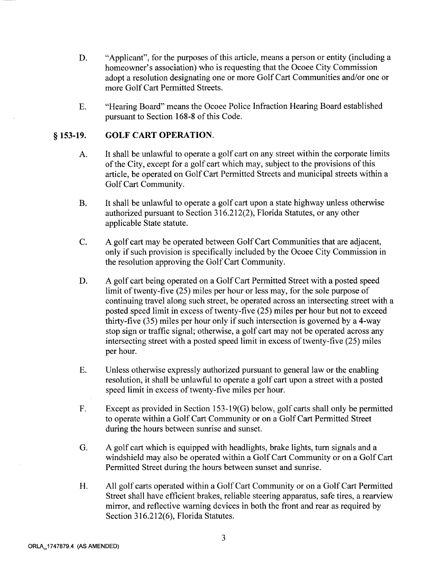- D. "Applicant", for the purposes of this article, means a person or entity (including a homeowner's association) who is requesting that the Ocoee City Commission "Applicant", for the purposes of this article, means a person or entity (includi<br>homeowner's association) who is requesting that the Ocoee City Commission<br>adopt a resolution designating one or more Golf Cart Communities an adopt a resolution designating one or more Golf Cart Communities and/or one or more Golf Cart Permitted Streets
- E. "Hearing Board" means the Ocoee Police Infraction Hearing Board established pursuant to Section 168-8 of this Code.

# § 153-19. GOLF CART OPERATION.

- A. It shall be unlawful to operate a golf cart on any street within the corporate limits of the City, except for a golf cart which may, subject to the provisions of this article, be operated on Golf Cart Permitted Streets and municipal streets within a Golf Cart Community
- B. It shall be unlawful to operate a golf cart upon a state highway unless otherwise authorized pursuant to Section  $316.212(2)$ , Florida Statutes, or any other applicable State statute
- C. A golf cart may be operated between Golf Cart Communities that are adjacent, only if such provision is specifically included by the Ocoee City Commission in the resolution approving the Golf Cart Community
- D. A golf cart being operated on a Golf Cart Permitted Street with a posted speed limit of twenty-five  $(25)$  miles per hour or less may, for the sole purpose of continuing travel along such street, be operated across an intersecting street with a posted speed limit in excess of twenty-five (25) miles per hour but not to exceed thirty-five  $(35)$  miles per hour only if such intersection is governed by a 4-way stop sign or traffic signal; otherwise, a golf cart may not be operated across any intersecting street with a posted speed limit in excess of twenty-five  $(25)$  miles per hour
- E. Unless otherwise expressly authorized pursuant to general law or the enabling resolution, it shall be unlawful to operate a golf cart upon a street with a posted speed limit in excess of twenty-five miles per hour.
- F. Except as provided in Section 153-19 $(G)$  below, golf carts shall only be permitted to operate within a Golf Cart Community or on a Golf Cart Permitted Street during the hours between sunrise and sunset.
- G. A golf cart which is equipped with headlights, brake lights, turn signals and a windshield may also be operated within a Golf Cart Community or on a Golf Cart Permitted Street during the hours between sunset and sunrise.
- H. All golf carts operated within a Golf Cart Community or on a Golf Cart Permitted Street shall have efficient brakes, reliable steering apparatus, safe tires, a rearview mirror, and reflective warning devices in both the front and rear as required by Section 316.212(6), Florida Statutes. Permitted Street during the hours bet<br>All golf carts operated within a Golf<br>Street shall have efficient brakes, rel<br>mirror, and reflective warning device<br>Section 316.212(6), Florida Statutes H. All<br>Stre<br>mir<br>Sec<br>ORLA\_1747879.4 (AS AMENDED)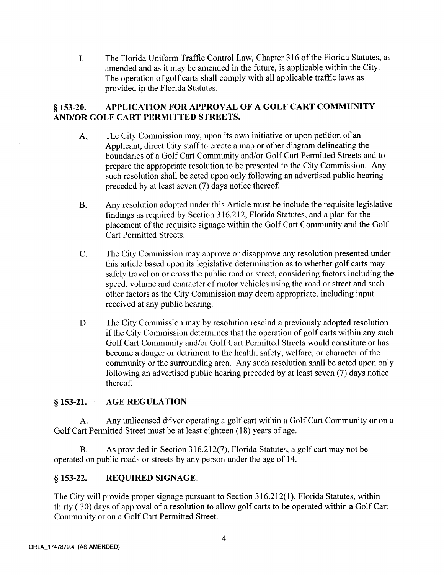I. The Florida Uniform Traffic Control Law, Chapter 316 of the Florida Statutes, as amended and as it may be amended in the future, is applicable within the City. The operation of golf carts shall comply with all applicable traffic laws as provided in the Florida Statutes

# § 153-20. APPLICATION FOR APPROVAL OF A GOLF CART COMMUNITY AND/OR GOLF CART PERMITTED STREETS.

- A. The City Commission may, upon its own initiative or upon petition of an Applicant, direct City staff to create a map or other diagram delineating the boundaries of a Golf Cart Community and/or Golf Cart Permitted Streets and to prepare the appropriate resolution to be presented to the City Commission Any such resolution shall be acted upon only following an advertised public hearing preceded by at least seven  $(7)$  days notice thereof.
- B. Any resolution adopted under this Article must be include the requisite legislative findings as required by Section 316.212, Florida Statutes, and a plan for the placement of the requisite signage within the Golf Cart Community and the Golf Cart Permitted Streets
- C. The City Commission may approve or disapprove any resolution presented under this article based upon its legislative determination as to whether golf carts may safely travel on or cross the public road or street, considering factors including the speed, volume and character of motor vehicles using the road or street and such other factors as the City Commission may deem appropriate, including input received at any public hearing
- D. The City Commission may by resolution rescind a previously adopted resolution if the City Commission determines that the operation of golf carts within any such Golf Cart Community and/or Golf Cart Permitted Streets would constitute or has become a danger or detriment to the health, safety, welfare, or character of the community or the surrounding area. Any such resolution shall be acted upon only following an advertised public hearing preceded by at least seven (7) days notice thereof

# § 153-21. AGE REGULATION.

A. Any unlicensed driver operating a golf cart within a Golf Cart Community or on a Golf Cart Permitted Street must be at least eighteen (18) years of age. **A.** Any unlicensed driver operating a golf cart within a Golf Cart Community art Permitted Street must be at least eighteen (18) years of age.<br>B. As provided in Section 316.212(7), Florida Statutes, a golf cart may not be

operated on public roads or streets by any person under the age of 14

# § 153-22. REQUIRED SIGNAGE.

B. As provided in Section 316.212(7), Florida Statutes, a golf cart may not be<br>operated on public roads or streets by any person under the age of 14.<br>\$153-22. REQUIRED SIGNAGE.<br>The City will provide proper signage pursuant Community or on a Golf Cart Permitted Street The City will proverthirty (30) days of<br>Community or on<br>ORLA\_1747879.4 (AS AMENDED)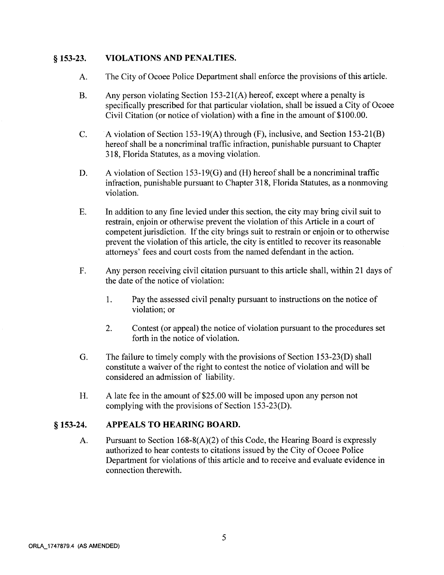# § 153-23. VIOLATIONS AND PENALTIES.

- 
- A. The City of Ocoee Police Department shall enforce the provisions of this article<br>B. Any person violating Section 153-21(A) hereof, except where a penalty is<br>specifically prescribed for that particular violation, shall b specifically prescribed for that particular violation, shall be issued a City of Ocoee Civil Citation (or notice of violation) with a fine in the amount of \$100.00. Civil Citation (or notice of violation) with a fine in the amount of \$100.00.<br>C. A violation of Section 153-19(A) through (F), inclusive, and Section 153-21(B)
- hereof shall be a noncriminal traffic infraction, punishable pursuant to Chapter 318, Florida Statutes, as a moving violation.
- D. A violation of Section 153-19(G) and  $(H)$  hereof shall be a noncriminal traffic infraction, punishable pursuant to Chapter 318, Florida Statutes, as a nonmoving violation
- E. In addition to any fine levied under this section, the city may bring civil suit to restrain, enjoin or otherwise prevent the violation of this Article in a court of competent jurisdiction. If the city brings suit to restrain or enjoin or to otherwise prevent the violation of this article, the city is entitled to recover its reasonable attorneys' fees and court costs from the named defendant in the action.
- F. Any person receiving civil citation pursuant to this article shall, within 21 days of the date of the notice of violation:
	- 1. Pay the assessed civil penalty pursuant to instructions on the notice of violation: or
	- 2. Contest (or appeal) the notice of violation pursuant to the procedures set forth in the notice of violation
- G. The failure to timely comply with the provisions of Section  $153-23(D)$  shall constitute a waiver of the right to contest the notice of violation and will be considered an admission of liability
- H. A late fee in the amount of \$25.00 will be imposed upon any person not complying with the provisions of Section 153-23(D). complying with the provisions of Section 153-23(D).<br> **A.** APPEALS TO HEARING BOARD.<br>
A. Pursuant to Section 168-8(A)(2) of this Code, the Hearing Board is expressly

## §153-24. APPEALS TO HEARING BOARD.

authorized to hear contests to citations issued by the City of Ocoee Police Department for violations of this article and to receive and evaluate evidence in connection therewith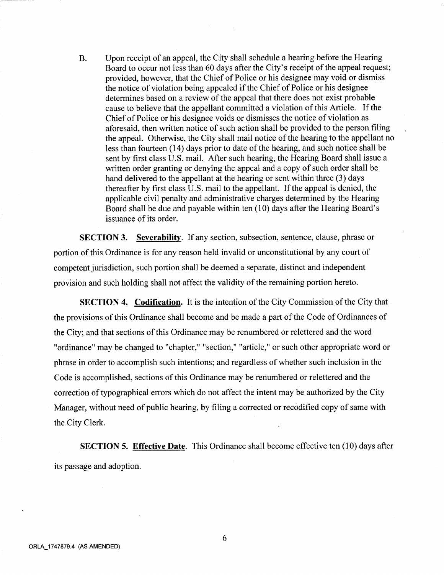B. Upon receipt of an appeal, the City shall schedule a hearing before the Hearing Board to occur not less than 60 days after the City's receipt of the appeal request; provided, however, that the Chief of Police or his designee may void or dismiss the notice of violation being appealed if the Chief of Police or his designee determines based on <sup>a</sup> review of the appeal that there does not exist probable cause to believe that the appellant committed a violation of this Article. If the Chief of Police or his designee voids or dismisses the notice of violation as aforesaid, then written notice of such action shall be provided to the person filing the appeal. Otherwise, the City shall mail notice of the hearing to the appellant no less than fourteen  $(14)$  days prior to date of the hearing, and such notice shall be sent by first class U.S. mail. After such hearing, the Hearing Board shall issue a written order granting or denying the appeal and <sup>a</sup> copy of such order shall be whiten ofder granting or deliying the appear and a copy or such ofder shall be hand delivered to the appellant at the hearing or sent within three (3) days thereafter by first class U.S. mail to the appellant. If the appea thereafter by first class U.S. mail to the appellant. If the appeal is denied, the applicable civil penalty and administrative charges determined by the Hearing Board shall be due and payable within ten (10) days after the Hearing Board's issuance of its order

SECTION 3. Severability. If any section, subsection, sentence, clause, phrase or portion of this Ordinance is for any reason held invalid or unconstitutional by any court of competent jurisdiction, such portion shall be deemed a separate, distinct and independent provision and such holding shall not affect the validity of the remaining portion hereto.

SECTION 4. Codification. It is the intention of the City Commission of the City that the provisions of this Ordinance shall become and be made <sup>a</sup> part of the Code of Ordinances of the City; and that sections of this Ordinance may be renumbered or relettered and the word "ordinance" may be changed to "chapter," "section," "article," or such other appropriate word or phrase in order to accomplish such intentions; and regardless of whether such inclusion in the Code is accomplished, sections of this Ordinance may be renumbered or relettered and the correction of typographical errors which do not affect the intent may be authorized by the City Manager, without need of public hearing, by filing a corrected or recodified copy of same with the City Clerk

SECTION 5. Effective Date. This Ordinance shall become effective ten (10) days after its passage and adoption

6